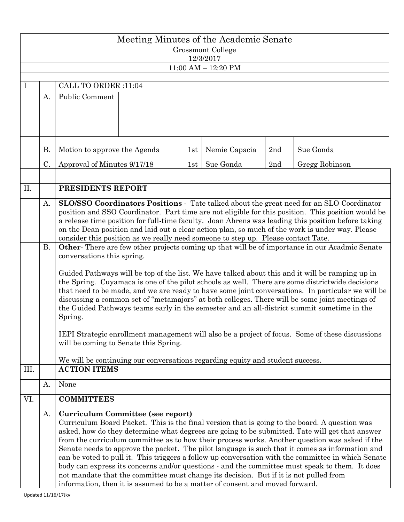|                         | Meeting Minutes of the Academic Senate |                                                                                                                                                                                                       |  |     |               |                |                                                                                               |  |  |  |  |  |  |  |
|-------------------------|----------------------------------------|-------------------------------------------------------------------------------------------------------------------------------------------------------------------------------------------------------|--|-----|---------------|----------------|-----------------------------------------------------------------------------------------------|--|--|--|--|--|--|--|
| Grossmont College       |                                        |                                                                                                                                                                                                       |  |     |               |                |                                                                                               |  |  |  |  |  |  |  |
|                         | 12/3/2017                              |                                                                                                                                                                                                       |  |     |               |                |                                                                                               |  |  |  |  |  |  |  |
| $11:00$ AM $- 12:20$ PM |                                        |                                                                                                                                                                                                       |  |     |               |                |                                                                                               |  |  |  |  |  |  |  |
| $\mathbf{I}$            |                                        | CALL TO ORDER :11:04                                                                                                                                                                                  |  |     |               |                |                                                                                               |  |  |  |  |  |  |  |
|                         | A.                                     | <b>Public Comment</b>                                                                                                                                                                                 |  |     |               |                |                                                                                               |  |  |  |  |  |  |  |
|                         |                                        |                                                                                                                                                                                                       |  |     |               |                |                                                                                               |  |  |  |  |  |  |  |
|                         |                                        |                                                                                                                                                                                                       |  |     |               |                |                                                                                               |  |  |  |  |  |  |  |
|                         |                                        |                                                                                                                                                                                                       |  |     |               |                |                                                                                               |  |  |  |  |  |  |  |
|                         |                                        |                                                                                                                                                                                                       |  |     |               |                |                                                                                               |  |  |  |  |  |  |  |
|                         | <b>B.</b>                              |                                                                                                                                                                                                       |  | 1st | Nemie Capacia | $2\mathrm{nd}$ | Sue Gonda                                                                                     |  |  |  |  |  |  |  |
|                         |                                        | Motion to approve the Agenda                                                                                                                                                                          |  |     |               |                |                                                                                               |  |  |  |  |  |  |  |
|                         | C.                                     | Approval of Minutes 9/17/18                                                                                                                                                                           |  |     | Sue Gonda     | 2nd            | Gregg Robinson                                                                                |  |  |  |  |  |  |  |
|                         |                                        |                                                                                                                                                                                                       |  |     |               |                |                                                                                               |  |  |  |  |  |  |  |
| II.                     |                                        | PRESIDENTS REPORT                                                                                                                                                                                     |  |     |               |                |                                                                                               |  |  |  |  |  |  |  |
|                         | A.                                     | SLO/SSO Coordinators Positions - Tate talked about the great need for an SLO Coordinator                                                                                                              |  |     |               |                |                                                                                               |  |  |  |  |  |  |  |
|                         |                                        | position and SSO Coordinator. Part time are not eligible for this position. This position would be                                                                                                    |  |     |               |                |                                                                                               |  |  |  |  |  |  |  |
|                         |                                        | a release time position for full-time faculty. Joan Ahrens was leading this position before taking                                                                                                    |  |     |               |                |                                                                                               |  |  |  |  |  |  |  |
|                         |                                        | on the Dean position and laid out a clear action plan, so much of the work is under way. Please                                                                                                       |  |     |               |                |                                                                                               |  |  |  |  |  |  |  |
|                         | <b>B.</b>                              | consider this position as we really need someone to step up. Please contact Tate.<br>Other-There are few other projects coming up that will be of importance in our Acadmic Senate                    |  |     |               |                |                                                                                               |  |  |  |  |  |  |  |
|                         |                                        | conversations this spring.                                                                                                                                                                            |  |     |               |                |                                                                                               |  |  |  |  |  |  |  |
|                         |                                        |                                                                                                                                                                                                       |  |     |               |                |                                                                                               |  |  |  |  |  |  |  |
|                         |                                        | Guided Pathways will be top of the list. We have talked about this and it will be ramping up in                                                                                                       |  |     |               |                |                                                                                               |  |  |  |  |  |  |  |
|                         |                                        | the Spring. Cuyamaca is one of the pilot schools as well. There are some districtwide decisions                                                                                                       |  |     |               |                |                                                                                               |  |  |  |  |  |  |  |
|                         |                                        | that need to be made, and we are ready to have some joint conversations. In particular we will be<br>discussing a common set of "metamajors" at both colleges. There will be some joint meetings of   |  |     |               |                |                                                                                               |  |  |  |  |  |  |  |
|                         |                                        | the Guided Pathways teams early in the semester and an all-district summit sometime in the                                                                                                            |  |     |               |                |                                                                                               |  |  |  |  |  |  |  |
|                         |                                        | Spring.                                                                                                                                                                                               |  |     |               |                |                                                                                               |  |  |  |  |  |  |  |
|                         |                                        |                                                                                                                                                                                                       |  |     |               |                |                                                                                               |  |  |  |  |  |  |  |
|                         |                                        | IEPI Strategic enrollment management will also be a project of focus. Some of these discussions<br>will be coming to Senate this Spring.                                                              |  |     |               |                |                                                                                               |  |  |  |  |  |  |  |
|                         |                                        |                                                                                                                                                                                                       |  |     |               |                |                                                                                               |  |  |  |  |  |  |  |
|                         |                                        | We will be continuing our conversations regarding equity and student success.                                                                                                                         |  |     |               |                |                                                                                               |  |  |  |  |  |  |  |
| III.                    |                                        | <b>ACTION ITEMS</b>                                                                                                                                                                                   |  |     |               |                |                                                                                               |  |  |  |  |  |  |  |
|                         | A.                                     | None                                                                                                                                                                                                  |  |     |               |                |                                                                                               |  |  |  |  |  |  |  |
| VI.                     |                                        | <b>COMMITTEES</b>                                                                                                                                                                                     |  |     |               |                |                                                                                               |  |  |  |  |  |  |  |
|                         | A.                                     | Curriculum Committee (see report)                                                                                                                                                                     |  |     |               |                |                                                                                               |  |  |  |  |  |  |  |
|                         |                                        |                                                                                                                                                                                                       |  |     |               |                | Curriculum Board Packet. This is the final version that is going to the board. A question was |  |  |  |  |  |  |  |
|                         |                                        | asked, how do they determine what degrees are going to be submitted. Tate will get that answer                                                                                                        |  |     |               |                |                                                                                               |  |  |  |  |  |  |  |
|                         |                                        | from the curriculum committee as to how their process works. Another question was asked if the                                                                                                        |  |     |               |                |                                                                                               |  |  |  |  |  |  |  |
|                         |                                        | Senate needs to approve the packet. The pilot language is such that it comes as information and<br>can be voted to pull it. This triggers a follow up conversation with the committee in which Senate |  |     |               |                |                                                                                               |  |  |  |  |  |  |  |
|                         |                                        | body can express its concerns and/or questions - and the committee must speak to them. It does                                                                                                        |  |     |               |                |                                                                                               |  |  |  |  |  |  |  |
|                         |                                        | not mandate that the committee must change its decision. But if it is not pulled from                                                                                                                 |  |     |               |                |                                                                                               |  |  |  |  |  |  |  |
|                         |                                        | information, then it is assumed to be a matter of consent and moved forward.                                                                                                                          |  |     |               |                |                                                                                               |  |  |  |  |  |  |  |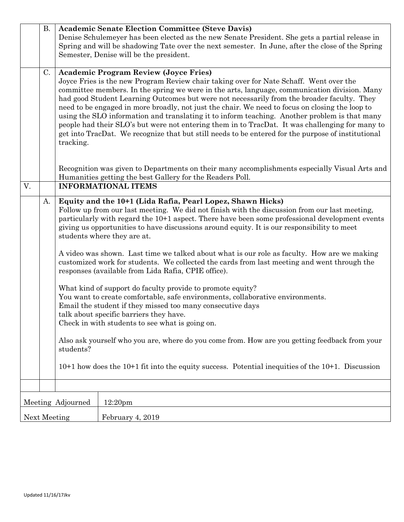|                                          | <b>B.</b> | <b>Academic Senate Election Committee (Steve Davis)</b>                                                                                                                                          |                                                                                                |  |  |  |  |  |  |  |
|------------------------------------------|-----------|--------------------------------------------------------------------------------------------------------------------------------------------------------------------------------------------------|------------------------------------------------------------------------------------------------|--|--|--|--|--|--|--|
|                                          |           | Denise Schulemeyer has been elected as the new Senate President. She gets a partial release in                                                                                                   |                                                                                                |  |  |  |  |  |  |  |
|                                          |           | Spring and will be shadowing Tate over the next semester. In June, after the close of the Spring                                                                                                 |                                                                                                |  |  |  |  |  |  |  |
|                                          |           | Semester, Denise will be the president.                                                                                                                                                          |                                                                                                |  |  |  |  |  |  |  |
|                                          |           |                                                                                                                                                                                                  |                                                                                                |  |  |  |  |  |  |  |
|                                          | C.        | <b>Academic Program Review (Joyce Fries)</b>                                                                                                                                                     |                                                                                                |  |  |  |  |  |  |  |
|                                          |           |                                                                                                                                                                                                  | Joyce Fries is the new Program Review chair taking over for Nate Schaff. Went over the         |  |  |  |  |  |  |  |
|                                          |           | committee members. In the spring we were in the arts, language, communication division. Many<br>had good Student Learning Outcomes but were not necessarily from the broader faculty. They       |                                                                                                |  |  |  |  |  |  |  |
|                                          |           |                                                                                                                                                                                                  |                                                                                                |  |  |  |  |  |  |  |
|                                          |           | need to be engaged in more broadly, not just the chair. We need to focus on closing the loop to<br>using the SLO information and translating it to inform teaching. Another problem is that many |                                                                                                |  |  |  |  |  |  |  |
|                                          |           | people had their SLO's but were not entering them in to TracDat. It was challenging for many to                                                                                                  |                                                                                                |  |  |  |  |  |  |  |
|                                          |           | get into TracDat. We recognize that but still needs to be entered for the purpose of institutional                                                                                               |                                                                                                |  |  |  |  |  |  |  |
|                                          |           | tracking.                                                                                                                                                                                        |                                                                                                |  |  |  |  |  |  |  |
|                                          |           |                                                                                                                                                                                                  |                                                                                                |  |  |  |  |  |  |  |
|                                          |           |                                                                                                                                                                                                  |                                                                                                |  |  |  |  |  |  |  |
|                                          |           | Recognition was given to Departments on their many accomplishments especially Visual Arts and                                                                                                    |                                                                                                |  |  |  |  |  |  |  |
|                                          |           | Humanities getting the best Gallery for the Readers Poll.                                                                                                                                        |                                                                                                |  |  |  |  |  |  |  |
| V.                                       |           | <b>INFORMATIONAL ITEMS</b>                                                                                                                                                                       |                                                                                                |  |  |  |  |  |  |  |
|                                          | A.        | Equity and the 10+1 (Lida Rafia, Pearl Lopez, Shawn Hicks)                                                                                                                                       |                                                                                                |  |  |  |  |  |  |  |
|                                          |           | Follow up from our last meeting. We did not finish with the discussion from our last meeting,                                                                                                    |                                                                                                |  |  |  |  |  |  |  |
|                                          |           |                                                                                                                                                                                                  | particularly with regard the 10+1 aspect. There have been some professional development events |  |  |  |  |  |  |  |
|                                          |           |                                                                                                                                                                                                  | giving us opportunities to have discussions around equity. It is our responsibility to meet    |  |  |  |  |  |  |  |
|                                          |           | students where they are at.                                                                                                                                                                      |                                                                                                |  |  |  |  |  |  |  |
|                                          |           |                                                                                                                                                                                                  |                                                                                                |  |  |  |  |  |  |  |
|                                          |           |                                                                                                                                                                                                  | A video was shown. Last time we talked about what is our role as faculty. How are we making    |  |  |  |  |  |  |  |
|                                          |           |                                                                                                                                                                                                  | customized work for students. We collected the cards from last meeting and went through the    |  |  |  |  |  |  |  |
|                                          |           | responses (available from Lida Rafia, CPIE office).                                                                                                                                              |                                                                                                |  |  |  |  |  |  |  |
|                                          |           | What kind of support do faculty provide to promote equity?                                                                                                                                       |                                                                                                |  |  |  |  |  |  |  |
|                                          |           |                                                                                                                                                                                                  | You want to create comfortable, safe environments, collaborative environments.                 |  |  |  |  |  |  |  |
|                                          |           |                                                                                                                                                                                                  |                                                                                                |  |  |  |  |  |  |  |
|                                          |           | Email the student if they missed too many consecutive days<br>talk about specific barriers they have.                                                                                            |                                                                                                |  |  |  |  |  |  |  |
|                                          |           | Check in with students to see what is going on.                                                                                                                                                  |                                                                                                |  |  |  |  |  |  |  |
|                                          |           |                                                                                                                                                                                                  |                                                                                                |  |  |  |  |  |  |  |
|                                          |           | Also ask yourself who you are, where do you come from. How are you getting feedback from your                                                                                                    |                                                                                                |  |  |  |  |  |  |  |
|                                          |           | students?                                                                                                                                                                                        |                                                                                                |  |  |  |  |  |  |  |
|                                          |           |                                                                                                                                                                                                  |                                                                                                |  |  |  |  |  |  |  |
|                                          |           | $10+1$ how does the $10+1$ fit into the equity success. Potential inequities of the $10+1$ . Discussion                                                                                          |                                                                                                |  |  |  |  |  |  |  |
|                                          |           |                                                                                                                                                                                                  |                                                                                                |  |  |  |  |  |  |  |
|                                          |           |                                                                                                                                                                                                  |                                                                                                |  |  |  |  |  |  |  |
| Meeting Adjourned<br>12:20 <sub>pm</sub> |           |                                                                                                                                                                                                  |                                                                                                |  |  |  |  |  |  |  |
| Next Meeting                             |           |                                                                                                                                                                                                  | February 4, 2019                                                                               |  |  |  |  |  |  |  |